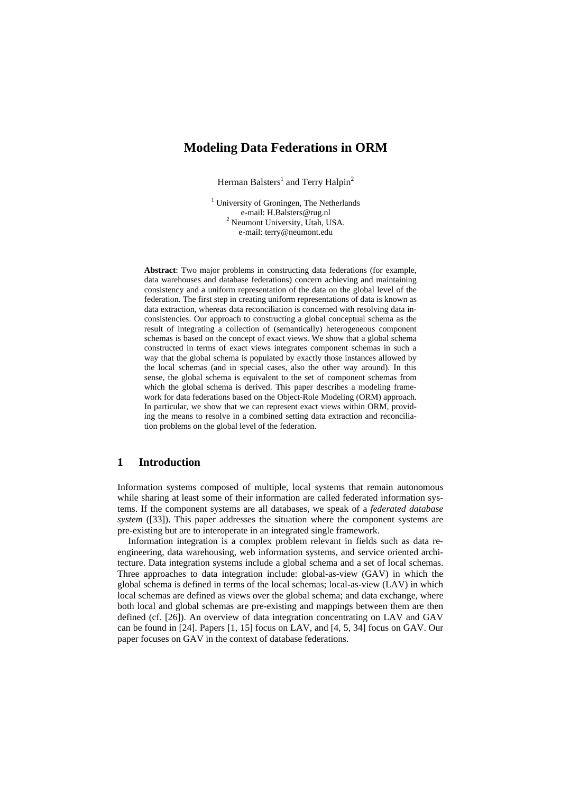# **Modeling Data Federations in ORM**

Herman Balsters<sup>1</sup> and Terry Halpin<sup>2</sup>

<sup>1</sup> University of Groningen, The Netherlands e-mail: H.Balsters@rug.nl 2 <sup>2</sup> Neumont University, Utah, USA. e-mail: terry@neumont.edu

**Abstract**: Two major problems in constructing data federations (for example, data warehouses and database federations) concern achieving and maintaining consistency and a uniform representation of the data on the global level of the federation. The first step in creating uniform representations of data is known as data extraction, whereas data reconciliation is concerned with resolving data inconsistencies. Our approach to constructing a global conceptual schema as the result of integrating a collection of (semantically) heterogeneous component schemas is based on the concept of exact views. We show that a global schema constructed in terms of exact views integrates component schemas in such a way that the global schema is populated by exactly those instances allowed by the local schemas (and in special cases, also the other way around). In this sense, the global schema is equivalent to the set of component schemas from which the global schema is derived. This paper describes a modeling framework for data federations based on the Object-Role Modeling (ORM) approach. In particular, we show that we can represent exact views within ORM, providing the means to resolve in a combined setting data extraction and reconciliation problems on the global level of the federation.

### **1 Introduction**

Information systems composed of multiple, local systems that remain autonomous while sharing at least some of their information are called federated information systems. If the component systems are all databases, we speak of a *federated database system* ([\[33](#page-9-0)]). This paper addresses the situation where the component systems are pre-existing but are to interoperate in an integrated single framework.

Information integration is a complex problem relevant in fields such as data reengineering, data warehousing, web information systems, and service oriented architecture. Data integration systems include a global schema and a set of local schemas. Three approaches to data integration include: global-as-view (GAV) in which the global schema is defined in terms of the local schemas; local-as-view (LAV) in which local schemas are defined as views over the global schema; and data exchange, where both local and global schemas are pre-existing and mappings between them are then defined (cf. [\[26](#page-9-1)]). An overview of data integration concentrating on LAV and GAV can be found in [\[24\]](#page-9-2). Papers [[1,](#page-8-0) [15](#page-9-3)] focus on LAV, and [\[4](#page-8-1), [5,](#page-8-2) [34](#page-9-4)] focus on GAV. Our paper focuses on GAV in the context of database federations.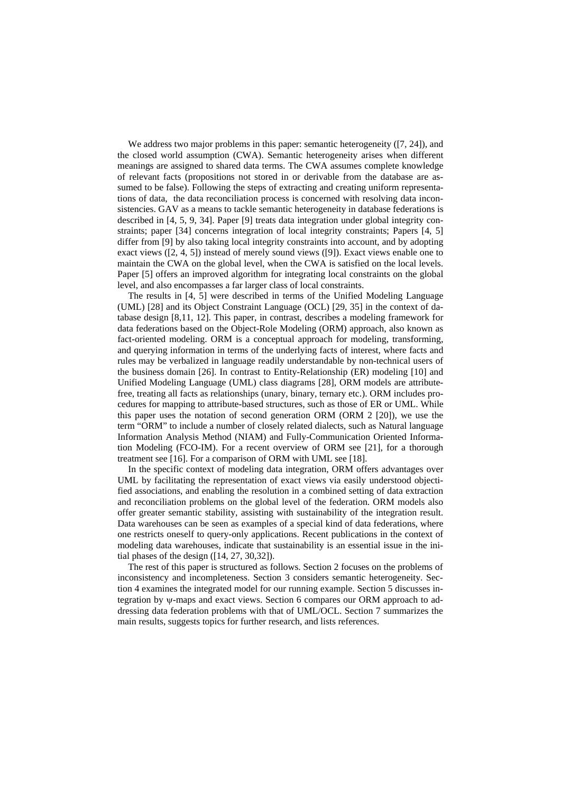We address two major problems in this paper: semantic heterogeneity ([\[7,](#page-8-3) [24\]](#page-9-2)), and the closed world assumption (CWA). Semantic heterogeneity arises when different meanings are assigned to shared data terms. The CWA assumes complete knowledge of relevant facts (propositions not stored in or derivable from the database are assumed to be false). Following the steps of extracting and creating uniform representations of data, the data reconciliation process is concerned with resolving data inconsistencies. GAV as a means to tackle semantic heterogeneity in database federations is described in [\[4](#page-8-1), [5,](#page-8-2) [9](#page-8-4), [34\]](#page-9-4). Paper [[9\]](#page-8-4) treats data integration under global integrity constraints; paper [[34\]](#page-9-4) concerns integration of local integrity constraints; Papers [[4,](#page-8-1) [5](#page-8-2)] differ from [\[9](#page-8-4)] by also taking local integrity constraints into account, and by adopting exact views ([\[2](#page-8-5), [4,](#page-8-1) [5\]](#page-8-2)) instead of merely sound views ([\[9](#page-8-4)]). Exact views enable one to maintain the CWA on the global level, when the CWA is satisfied on the local levels. Paper [[5\]](#page-8-2) offers an improved algorithm for integrating local constraints on the global level, and also encompasses a far larger class of local constraints.

The results in [\[4](#page-8-1), [5](#page-8-2)] were described in terms of the Unified Modeling Language (UML) [\[28\]](#page-9-5) and its Object Constraint Language (OCL) [\[29](#page-9-6), [35\]](#page-9-7) in the context of database design [\[8](#page-8-6),[11,](#page-8-7) [12](#page-9-8)]. This paper, in contrast, describes a modeling framework for data federations based on the Object-Role Modeling (ORM) approach, also known as fact-oriented modeling. ORM is a conceptual approach for modeling, transforming, and querying information in terms of the underlying facts of interest, where facts and rules may be verbalized in language readily understandable by non-technical users of the business domain [\[26](#page-9-1)]. In contrast to Entity-Relationship (ER) modeling [[10\]](#page-8-8) and Unified Modeling Language (UML) class diagrams [\[28](#page-9-5)], ORM models are attributefree, treating all facts as relationships (unary, binary, ternary etc.). ORM includes procedures for mapping to attribute-based structures, such as those of ER or UML. While this paper uses the notation of second generation ORM (ORM 2 [\[20](#page-9-9)]), we use the term "ORM" to include a number of closely related dialects, such as Natural language Information Analysis Method (NIAM) and Fully-Communication Oriented Information Modeling (FCO-IM). For a recent overview of ORM see [[21\]](#page-9-10), for a thorough treatment see [[16\]](#page-9-11). For a comparison of ORM with UML see [\[18](#page-9-12)].

In the specific context of modeling data integration, ORM offers advantages over UML by facilitating the representation of exact views via easily understood objectified associations, and enabling the resolution in a combined setting of data extraction and reconciliation problems on the global level of the federation. ORM models also offer greater semantic stability, assisting with sustainability of the integration result. Data warehouses can be seen as examples of a special kind of data federations, where one restricts oneself to query-only applications. Recent publications in the context of modeling data warehouses, indicate that sustainability is an essential issue in the initial phases of the design ([\[14,](#page-9-13) [27,](#page-9-14) [30](#page-9-15)[,32\]](#page-9-16)).

The rest of this paper is structured as follows. Section 2 focuses on the problems of inconsistency and incompleteness. Section 3 considers semantic heterogeneity. Section 4 examines the integrated model for our running example. Section 5 discusses integration by ψ-maps and exact views. Section 6 compares our ORM approach to addressing data federation problems with that of UML/OCL. Section 7 summarizes the main results, suggests topics for further research, and lists references.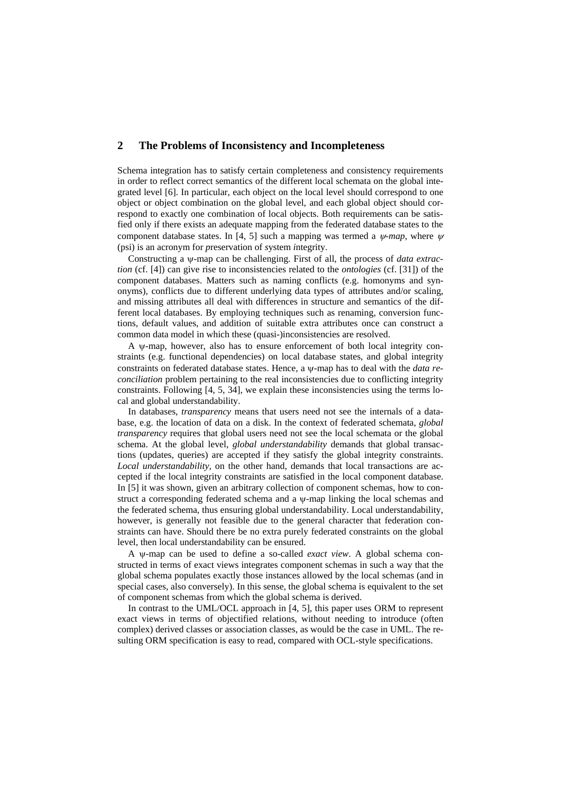## **2 The Problems of Inconsistency and Incompleteness**

Schema integration has to satisfy certain completeness and consistency requirements in order to reflect correct semantics of the different local schemata on the global integrated level [6]. In particular, each object on the local level should correspond to one object or object combination on the global level, and each global object should correspond to exactly one combination of local objects. Both requirements can be satisfied only if there exists an adequate mapping from the federated database states to the component database states. In [[4,](#page-8-1) [5\]](#page-8-2) such a mapping was termed a  $\psi$ -map, where  $\psi$ (psi) is an acronym for *p*reservation of *s*ystem *i*ntegrity.

Constructing a ψ-map can be challenging. First of all, the process of *data extraction* (cf. [\[4](#page-8-1)]) can give rise to inconsistencies related to the *ontologies* (cf. [\[31](#page-9-17)]) of the component databases. Matters such as naming conflicts (e.g. homonyms and synonyms), conflicts due to different underlying data types of attributes and/or scaling, and missing attributes all deal with differences in structure and semantics of the different local databases. By employing techniques such as renaming, conversion functions, default values, and addition of suitable extra attributes once can construct a common data model in which these (quasi-)inconsistencies are resolved.

A ψ-map, however, also has to ensure enforcement of both local integrity constraints (e.g. functional dependencies) on local database states, and global integrity constraints on federated database states. Hence, a ψ-map has to deal with the *data reconciliation* problem pertaining to the real inconsistencies due to conflicting integrity constraints. Following [[4,](#page-8-1) [5](#page-8-2), [34\]](#page-9-4), we explain these inconsistencies using the terms local and global understandability.

In databases, *transparency* means that users need not see the internals of a database, e.g. the location of data on a disk. In the context of federated schemata, *global transparency* requires that global users need not see the local schemata or the global schema. At the global level, *global understandability* demands that global transactions (updates, queries) are accepted if they satisfy the global integrity constraints. *Local understandability*, on the other hand, demands that local transactions are accepted if the local integrity constraints are satisfied in the local component database. In [\[5](#page-8-2)] it was shown, given an arbitrary collection of component schemas, how to construct a corresponding federated schema and a ψ-map linking the local schemas and the federated schema, thus ensuring global understandability. Local understandability, however, is generally not feasible due to the general character that federation constraints can have. Should there be no extra purely federated constraints on the global level, then local understandability can be ensured.

A ψ-map can be used to define a so-called *exact view*. A global schema constructed in terms of exact views integrates component schemas in such a way that the global schema populates exactly those instances allowed by the local schemas (and in special cases, also conversely). In this sense, the global schema is equivalent to the set of component schemas from which the global schema is derived.

In contrast to the UML/OCL approach in [\[4](#page-8-1), [5\]](#page-8-2), this paper uses ORM to represent exact views in terms of objectified relations, without needing to introduce (often complex) derived classes or association classes, as would be the case in UML. The resulting ORM specification is easy to read, compared with OCL-style specifications.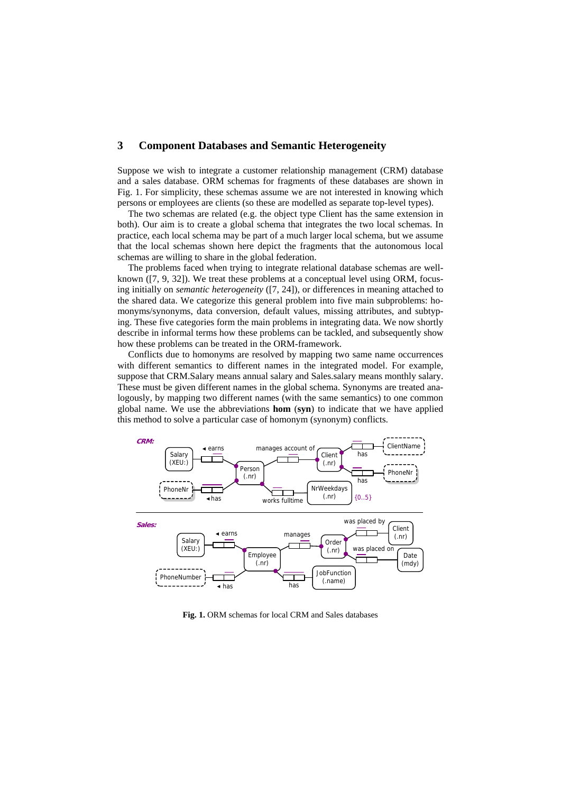## **3 Component Databases and Semantic Heterogeneity**

Suppose we wish to integrate a customer relationship management (CRM) database and a sales database. ORM schemas for fragments of these databases are shown in Fig. 1. For simplicity, these schemas assume we are not interested in knowing which persons or employees are clients (so these are modelled as separate top-level types).

The two schemas are related (e.g. the object type Client has the same extension in both). Our aim is to create a global schema that integrates the two local schemas. In practice, each local schema may be part of a much larger local schema, but we assume that the local schemas shown here depict the fragments that the autonomous local schemas are willing to share in the global federation.

The problems faced when trying to integrate relational database schemas are wellknown ([[7,](#page-8-3) [9](#page-8-4), [32\]](#page-9-16)). We treat these problems at a conceptual level using ORM, focusing initially on *semantic heterogeneity* ([[7,](#page-8-3) [24](#page-9-2)]), or differences in meaning attached to the shared data. We categorize this general problem into five main subproblems: homonyms/synonyms, data conversion*,* default values, missing attributes, and subtyping. These five categories form the main problems in integrating data. We now shortly describe in informal terms how these problems can be tackled, and subsequently show how these problems can be treated in the ORM-framework.

Conflicts due to homonyms are resolved by mapping two same name occurrences with different semantics to different names in the integrated model. For example, suppose that CRM.Salary means annual salary and Sales.salary means monthly salary. These must be given different names in the global schema. Synonyms are treated analogously, by mapping two different names (with the same semantics) to one common global name. We use the abbreviations **hom** (**syn**) to indicate that we have applied this method to solve a particular case of homonym (synonym) conflicts.



**Fig. 1.** ORM schemas for local CRM and Sales databases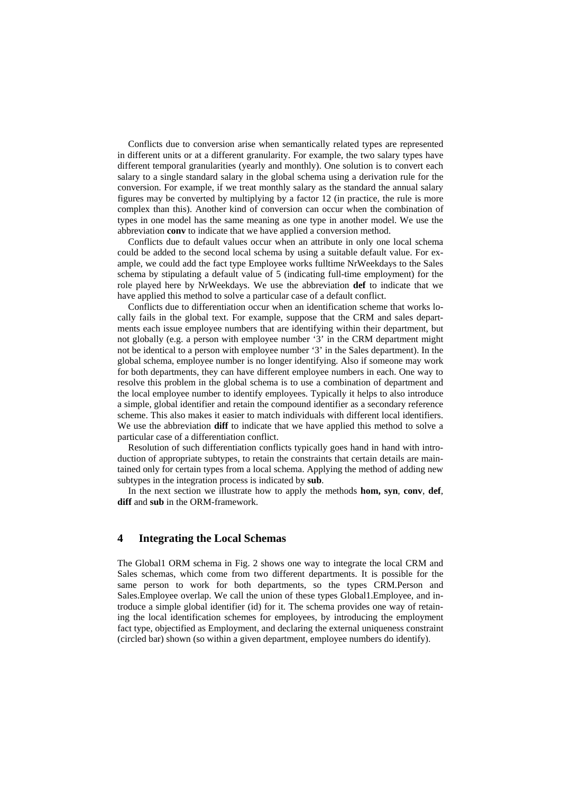Conflicts due to conversion arise when semantically related types are represented in different units or at a different granularity. For example, the two salary types have different temporal granularities (yearly and monthly). One solution is to convert each salary to a single standard salary in the global schema using a derivation rule for the conversion. For example, if we treat monthly salary as the standard the annual salary figures may be converted by multiplying by a factor 12 (in practice, the rule is more complex than this). Another kind of conversion can occur when the combination of types in one model has the same meaning as one type in another model. We use the abbreviation **conv** to indicate that we have applied a conversion method.

Conflicts due to default values occur when an attribute in only one local schema could be added to the second local schema by using a suitable default value. For example, we could add the fact type Employee works fulltime NrWeekdays to the Sales schema by stipulating a default value of 5 (indicating full-time employment) for the role played here by NrWeekdays. We use the abbreviation **def** to indicate that we have applied this method to solve a particular case of a default conflict.

Conflicts due to differentiation occur when an identification scheme that works locally fails in the global text. For example, suppose that the CRM and sales departments each issue employee numbers that are identifying within their department, but not globally (e.g. a person with employee number '3' in the CRM department might not be identical to a person with employee number '3' in the Sales department). In the global schema, employee number is no longer identifying. Also if someone may work for both departments, they can have different employee numbers in each. One way to resolve this problem in the global schema is to use a combination of department and the local employee number to identify employees. Typically it helps to also introduce a simple, global identifier and retain the compound identifier as a secondary reference scheme. This also makes it easier to match individuals with different local identifiers. We use the abbreviation **diff** to indicate that we have applied this method to solve a particular case of a differentiation conflict.

Resolution of such differentiation conflicts typically goes hand in hand with introduction of appropriate subtypes, to retain the constraints that certain details are maintained only for certain types from a local schema. Applying the method of adding new subtypes in the integration process is indicated by **sub**.

In the next section we illustrate how to apply the methods **hom, syn**, **conv**, **def**, **diff** and **sub** in the ORM-framework.

## **4 Integrating the Local Schemas**

The Global1 ORM schema in Fig. 2 shows one way to integrate the local CRM and Sales schemas, which come from two different departments. It is possible for the same person to work for both departments, so the types CRM.Person and Sales.Employee overlap. We call the union of these types Global1.Employee, and introduce a simple global identifier (id) for it. The schema provides one way of retaining the local identification schemes for employees, by introducing the employment fact type, objectified as Employment, and declaring the external uniqueness constraint (circled bar) shown (so within a given department, employee numbers do identify).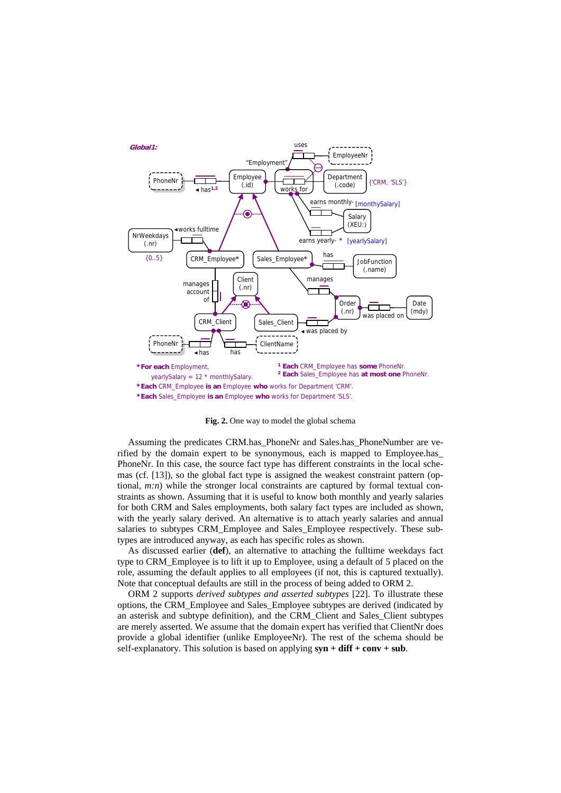

**Fig. 2.** One way to model the global schema

Assuming the predicates CRM.has\_PhoneNr and Sales.has\_PhoneNumber are verified by the domain expert to be synonymous, each is mapped to Employee.has\_ PhoneNr. In this case, the source fact type has different constraints in the local schemas (cf. [13]), so the global fact type is assigned the weakest constraint pattern (optional, *m:n*) while the stronger local constraints are captured by formal textual constraints as shown. Assuming that it is useful to know both monthly and yearly salaries for both CRM and Sales employments, both salary fact types are included as shown, with the yearly salary derived. An alternative is to attach yearly salaries and annual salaries to subtypes CRM\_Employee and Sales\_Employee respectively. These subtypes are introduced anyway, as each has specific roles as shown.

As discussed earlier (**def**), an alternative to attaching the fulltime weekdays fact type to CRM\_Employee is to lift it up to Employee, using a default of 5 placed on the role, assuming the default applies to all employees (if not, this is captured textually). Note that conceptual defaults are still in the process of being added to ORM 2.

ORM 2 supports *derived subtypes and asserted subtypes* [\[22](#page-9-18)]. To illustrate these options, the CRM\_Employee and Sales\_Employee subtypes are derived (indicated by an asterisk and subtype definition), and the CRM\_Client and Sales\_Client subtypes are merely asserted. We assume that the domain expert has verified that ClientNr does provide a global identifier (unlike EmployeeNr). The rest of the schema should be self-explanatory. This solution is based on applying  $syn + diff + conv + sub$ .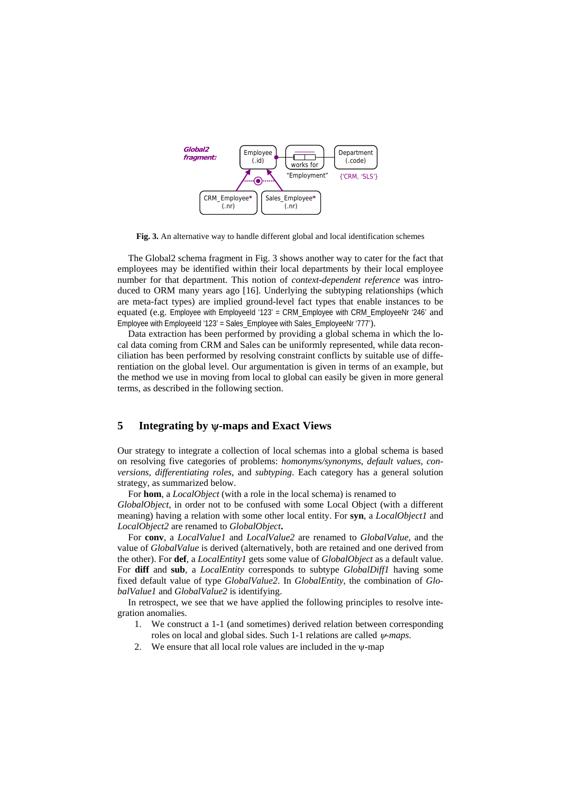

Fig. 3. An alternative way to handle different global and local identification schemes

The Global2 schema fragment in Fig. 3 shows another way to cater for the fact that employees may be identified within their local departments by their local employee number for that department. This notion of *context-dependent reference* was introduced to ORM many years ago [\[16](#page-9-11)]. Underlying the subtyping relationships (which are meta-fact types) are implied ground-level fact types that enable instances to be equated (e.g. Employee with EmployeeId '123' = CRM\_Employee with CRM\_EmployeeNr '246' and Employee with EmployeeId '123' = Sales\_Employee with Sales\_EmployeeNr '777').

Data extraction has been performed by providing a global schema in which the local data coming from CRM and Sales can be uniformly represented, while data reconciliation has been performed by resolving constraint conflicts by suitable use of differentiation on the global level. Our argumentation is given in terms of an example, but the method we use in moving from local to global can easily be given in more general terms, as described in the following section.

### **5 Integrating by** ψ**-maps and Exact Views**

Our strategy to integrate a collection of local schemas into a global schema is based on resolving five categories of problems: *homonyms/synonyms*, *default values*, *conversions*, *differentiating roles*, and *subtyping*. Each category has a general solution strategy, as summarized below.

For **hom**, a *LocalObject* (with a role in the local schema) is renamed to *GlobalObject*, in order not to be confused with some Local Object (with a different meaning) having a relation with some other local entity. For **syn**, a *LocalObject1* and *LocalObject2* are renamed to *GlobalObject***.**

For **conv**, a *LocalValue1* and *LocalValue2* are renamed to *GlobalValue*, and the value of *GlobalValue* is derived (alternatively, both are retained and one derived from the other). For **def**, a *LocalEntity1* gets some value of *GlobalObject* as a default value. For **diff** and **sub**, a *LocalEntity* corresponds to subtype *GlobalDiff1* having some fixed default value of type *GlobalValue2*. In *GlobalEntity*, the combination of *GlobalValue1* and *GlobalValue2* is identifying.

In retrospect, we see that we have applied the following principles to resolve integration anomalies.

- 1. We construct a 1-1 (and sometimes) derived relation between corresponding roles on local and global sides. Such 1-1 relations are called ψ*-maps*.
- 2. We ensure that all local role values are included in the  $\psi$ -map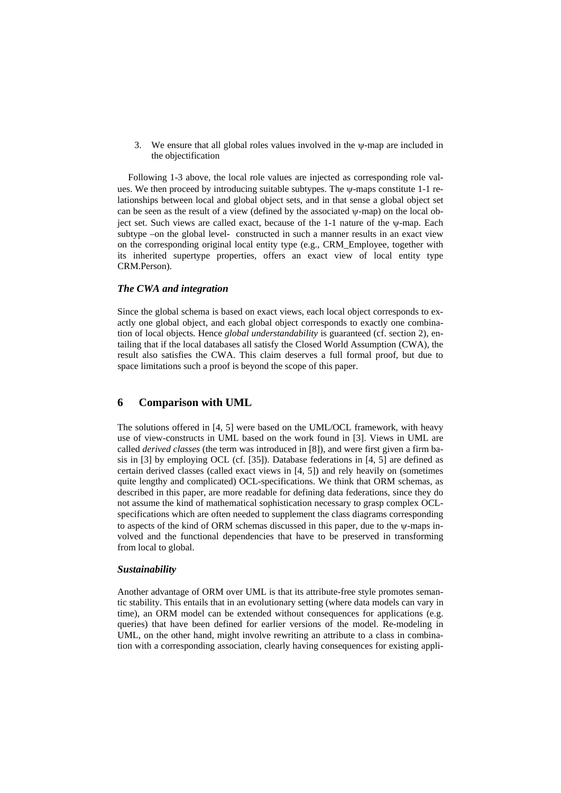3. We ensure that all global roles values involved in the ψ-map are included in the objectification

Following 1-3 above, the local role values are injected as corresponding role values. We then proceed by introducing suitable subtypes. The ψ-maps constitute 1-1 relationships between local and global object sets, and in that sense a global object set can be seen as the result of a view (defined by the associated ψ-map) on the local object set. Such views are called exact, because of the 1-1 nature of the ψ-map. Each subtype –on the global level- constructed in such a manner results in an exact view on the corresponding original local entity type (e.g., CRM\_Employee, together with its inherited supertype properties, offers an exact view of local entity type CRM.Person).

### *The CWA and integration*

Since the global schema is based on exact views, each local object corresponds to exactly one global object, and each global object corresponds to exactly one combination of local objects. Hence *global understandability* is guaranteed (cf. section 2), entailing that if the local databases all satisfy the Closed World Assumption (CWA), the result also satisfies the CWA. This claim deserves a full formal proof, but due to space limitations such a proof is beyond the scope of this paper.

## **6 Comparison with UML**

The solutions offered in [\[4,](#page-8-1) [5\]](#page-8-2) were based on the UML/OCL framework, with heavy use of view-constructs in UML based on the work found in [\[3](#page-8-9)]. Views in UML are called *derived classes* (the term was introduced in [\[8](#page-8-6)]), and were first given a firm basis in [[3\]](#page-8-9) by employing OCL (cf. [\[35](#page-9-7)]). Database federations in [\[4](#page-8-1), [5](#page-8-2)] are defined as certain derived classes (called exact views in [4, 5]) and rely heavily on (sometimes quite lengthy and complicated) OCL-specifications. We think that ORM schemas, as described in this paper, are more readable for defining data federations, since they do not assume the kind of mathematical sophistication necessary to grasp complex OCLspecifications which are often needed to supplement the class diagrams corresponding to aspects of the kind of ORM schemas discussed in this paper, due to the ψ-maps involved and the functional dependencies that have to be preserved in transforming from local to global.

#### *Sustainability*

Another advantage of ORM over UML is that its attribute-free style promotes semantic stability. This entails that in an evolutionary setting (where data models can vary in time), an ORM model can be extended without consequences for applications (e.g. queries) that have been defined for earlier versions of the model. Re-modeling in UML, on the other hand, might involve rewriting an attribute to a class in combination with a corresponding association, clearly having consequences for existing appli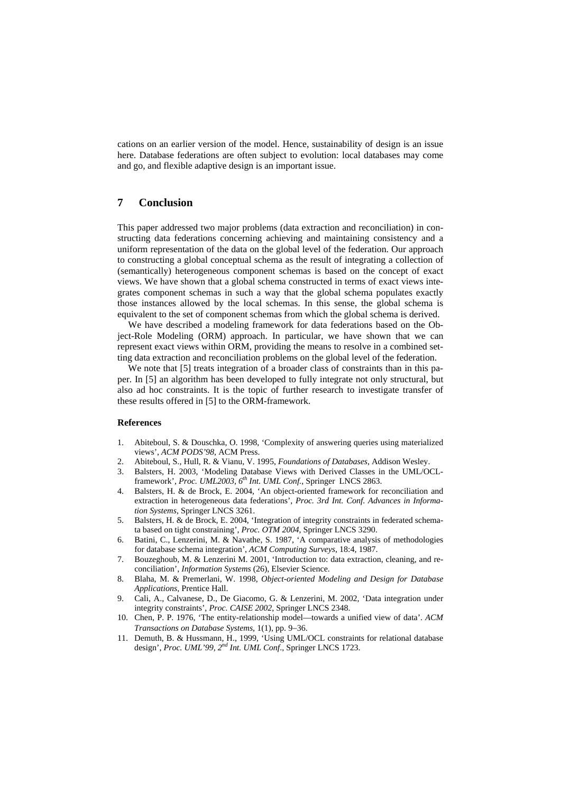cations on an earlier version of the model. Hence, sustainability of design is an issue here. Database federations are often subject to evolution: local databases may come and go, and flexible adaptive design is an important issue.

# **7 Conclusion**

This paper addressed two major problems (data extraction and reconciliation) in constructing data federations concerning achieving and maintaining consistency and a uniform representation of the data on the global level of the federation. Our approach to constructing a global conceptual schema as the result of integrating a collection of (semantically) heterogeneous component schemas is based on the concept of exact views. We have shown that a global schema constructed in terms of exact views integrates component schemas in such a way that the global schema populates exactly those instances allowed by the local schemas. In this sense, the global schema is equivalent to the set of component schemas from which the global schema is derived.

We have described a modeling framework for data federations based on the Object-Role Modeling (ORM) approach. In particular, we have shown that we can represent exact views within ORM, providing the means to resolve in a combined setting data extraction and reconciliation problems on the global level of the federation.

We note that [[5\]](#page-8-2) treats integration of a broader class of constraints than in this paper. In [[5\]](#page-8-2) an algorithm has been developed to fully integrate not only structural, but also ad hoc constraints. It is the topic of further research to investigate transfer of these results offered in [\[5](#page-8-2)] to the ORM-framework.

#### **References**

- <span id="page-8-0"></span>1. Abiteboul, S. & Douschka, O. 1998, 'Complexity of answering queries using materialized views', *ACM PODS'98*, ACM Press.
- <span id="page-8-5"></span>2. Abiteboul, S., Hull, R. & Vianu, V. 1995, *Foundations of Databases*, Addison Wesley.
- <span id="page-8-9"></span>3. Balsters, H. 2003, 'Modeling Database Views with Derived Classes in the UML/OCLframework', *Proc. UML2003, 6th Int. UML Conf.*, Springer LNCS 2863.
- <span id="page-8-1"></span>4. Balsters, H. & de Brock, E. 2004, 'An object-oriented framework for reconciliation and extraction in heterogeneous data federations', *Proc. 3rd Int. Conf. Advances in Information Systems*, Springer LNCS 3261.
- <span id="page-8-2"></span>5. Balsters, H. & de Brock, E. 2004, 'Integration of integrity constraints in federated schemata based on tight constraining', *Proc. OTM 2004*, Springer LNCS 3290.
- 6. Batini, C., Lenzerini, M. & Navathe, S. 1987, 'A comparative analysis of methodologies for database schema integration', *ACM Computing Surveys*, 18:4, 1987.
- <span id="page-8-3"></span>7. Bouzeghoub, M. & Lenzerini M. 2001, 'Introduction to: data extraction, cleaning, and reconciliation', *Information Systems* (26), Elsevier Science.
- <span id="page-8-6"></span>8. Blaha, M. & Premerlani, W. 1998, *Object-oriented Modeling and Design for Database Applications,* Prentice Hall.
- <span id="page-8-4"></span>9. Cali, A., Calvanese, D., De Giacomo, G. & Lenzerini, M. 2002, 'Data integration under integrity constraints', *Proc. CAISE 2002*, Springer LNCS 2348.
- <span id="page-8-8"></span>10. Chen, P. P. 1976, 'The entity-relationship model—towards a unified view of data'. *ACM Transactions on Database Systems*, 1(1), pp. 9−36.
- <span id="page-8-7"></span>11. Demuth, B. & Hussmann, H., 1999, 'Using UML/OCL constraints for relational database design', *Proc. UML'99, 2nd Int. UML Conf*., Springer LNCS 1723.